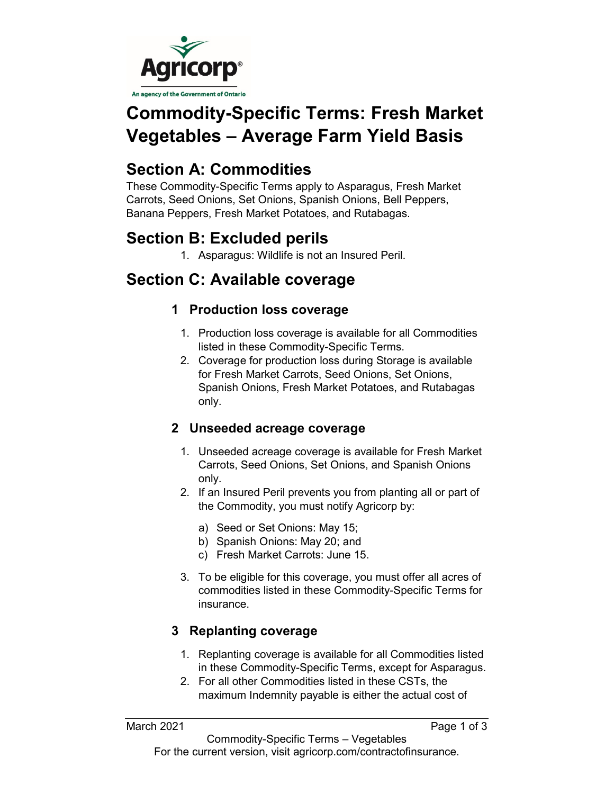

# **Commodity-Specific Terms: Fresh Market Vegetables – Average Farm Yield Basis**

## **Section A: Commodities**

These Commodity-Specific Terms apply to Asparagus, Fresh Market Carrots, Seed Onions, Set Onions, Spanish Onions, Bell Peppers, Banana Peppers, Fresh Market Potatoes, and Rutabagas.

## **Section B: Excluded perils**

1. Asparagus: Wildlife is not an Insured Peril.

## **Section C: Available coverage**

### **1 Production loss coverage**

- 1. Production loss coverage is available for all Commodities listed in these Commodity-Specific Terms.
- 2. Coverage for production loss during Storage is available for Fresh Market Carrots, Seed Onions, Set Onions, Spanish Onions, Fresh Market Potatoes, and Rutabagas only.

### **2 Unseeded acreage coverage**

- 1. Unseeded acreage coverage is available for Fresh Market Carrots, Seed Onions, Set Onions, and Spanish Onions only.
- 2. If an Insured Peril prevents you from planting all or part of the Commodity, you must notify Agricorp by:
	- a) Seed or Set Onions: May 15;
	- b) Spanish Onions: May 20; and
	- c) Fresh Market Carrots: June 15.
- 3. To be eligible for this coverage, you must offer all acres of commodities listed in these Commodity-Specific Terms for insurance.

### **3 Replanting coverage**

- 1. Replanting coverage is available for all Commodities listed in these Commodity-Specific Terms, except for Asparagus.
- 2. For all other Commodities listed in these CSTs, the maximum Indemnity payable is either the actual cost of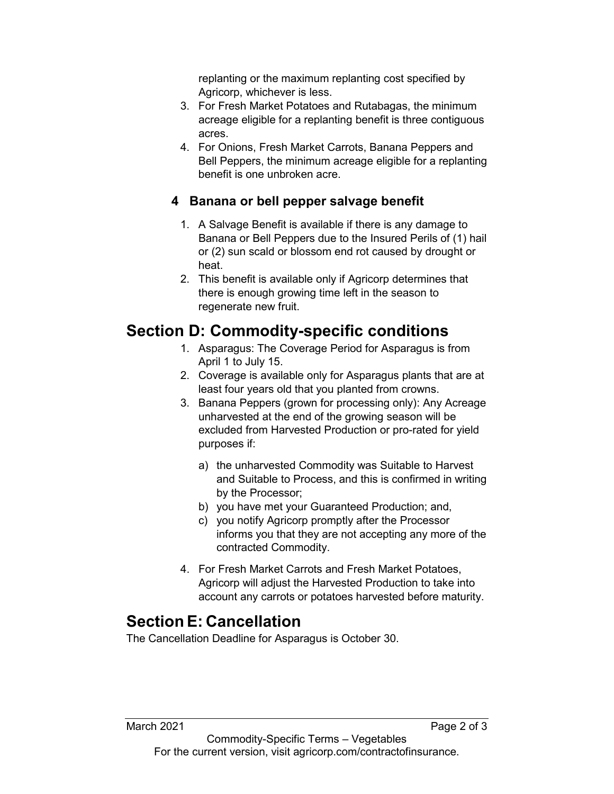replanting or the maximum replanting cost specified by Agricorp, whichever is less.

- 3. For Fresh Market Potatoes and Rutabagas, the minimum acreage eligible for a replanting benefit is three contiguous acres.
- 4. For Onions, Fresh Market Carrots, Banana Peppers and Bell Peppers, the minimum acreage eligible for a replanting benefit is one unbroken acre.

### **4 Banana or bell pepper salvage benefit**

- 1. A Salvage Benefit is available if there is any damage to Banana or Bell Peppers due to the Insured Perils of (1) hail or (2) sun scald or blossom end rot caused by drought or heat.
- 2. This benefit is available only if Agricorp determines that there is enough growing time left in the season to regenerate new fruit.

## **Section D: Commodity-specific conditions**

- 1. Asparagus: The Coverage Period for Asparagus is from April 1 to July 15.
- 2. Coverage is available only for Asparagus plants that are at least four years old that you planted from crowns.
- 3. Banana Peppers (grown for processing only): Any Acreage unharvested at the end of the growing season will be excluded from Harvested Production or pro-rated for yield purposes if:
	- a) the unharvested Commodity was Suitable to Harvest and Suitable to Process, and this is confirmed in writing by the Processor;
	- b) you have met your Guaranteed Production; and,
	- c) you notify Agricorp promptly after the Processor informs you that they are not accepting any more of the contracted Commodity.
- 4. For Fresh Market Carrots and Fresh Market Potatoes, Agricorp will adjust the Harvested Production to take into account any carrots or potatoes harvested before maturity.

## **Section E: Cancellation**

The Cancellation Deadline for Asparagus is October 30.